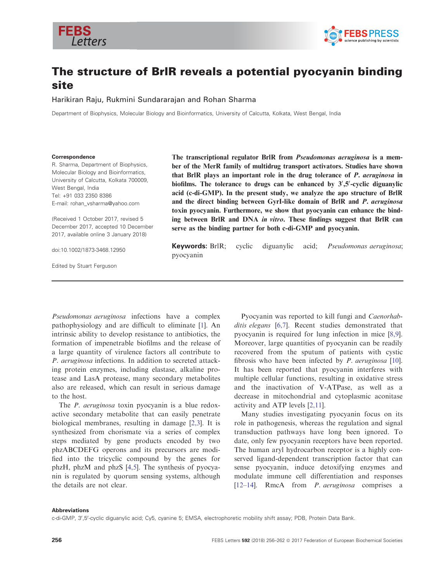



# The structure of BrlR reveals a potential pyocyanin binding site

Harikiran Raju, Rukmini Sundararajan and Rohan Sharma

Department of Biophysics, Molecular Biology and Bioinformatics, University of Calcutta, Kolkata, West Bengal, India

#### Correspondence

R. Sharma, Department of Biophysics, Molecular Biology and Bioinformatics, University of Calcutta, Kolkata 700009, West Bengal, India Tel: +91 033 2350 8386 E-mail: rohan\_vsharma@yahoo.com

(Received 1 October 2017, revised 5 December 2017, accepted 10 December 2017, available online 3 January 2018)

doi:10.1002/1873-3468.12950

Edited by Stuart Ferguson

The transcriptional regulator BrlR from Pseudomonas aeruginosa is a member of the MerR family of multidrug transport activators. Studies have shown that BrlR plays an important role in the drug tolerance of P. aeruginosa in biofilms. The tolerance to drugs can be enhanced by  $3^{\prime},5^{\prime}$ -cyclic diguanylic acid (c-di-GMP). In the present study, we analyze the apo structure of BrlR and the direct binding between GyrI-like domain of BrlR and P. aeruginosa toxin pyocyanin. Furthermore, we show that pyocyanin can enhance the binding between BrlR and DNA in vitro. These findings suggest that BrlR can serve as the binding partner for both c-di-GMP and pyocyanin.

Keywords: BrlR; cyclic diguanylic acid; Pseudomonas aeruginosa; pyocyanin

Pseudomonas aeruginosa infections have a complex pathophysiology and are difficult to eliminate [[1](#page-5-0)]. An intrinsic ability to develop resistance to antibiotics, the formation of impenetrable biofilms and the release of a large quantity of virulence factors all contribute to P. aeruginosa infections. In addition to secreted attacking protein enzymes, including elastase, alkaline protease and LasA protease, many secondary metabolites also are released, which can result in serious damage to the host.

The *P. aeruginosa* toxin pyocyanin is a blue redoxactive secondary metabolite that can easily penetrate biological membranes, resulting in damage [\[2,3](#page-5-0)]. It is synthesized from chorismate via a series of complex steps mediated by gene products encoded by two phzABCDEFG operons and its precursors are modified into the tricyclic compound by the genes for phzH, phzM and phzS [[4,5\]](#page-5-0). The synthesis of pyocyanin is regulated by quorum sensing systems, although the details are not clear.

Pyocyanin was reported to kill fungi and Caenorhab-ditis elegans [\[6,7](#page-6-0)]. Recent studies demonstrated that pyocyanin is required for lung infection in mice [\[8,9](#page-6-0)]. Moreover, large quantities of pyocyanin can be readily recovered from the sputum of patients with cystic fibrosis who have been infected by  $P$ . aeruginosa [[10](#page-6-0)]. It has been reported that pyocyanin interferes with multiple cellular functions, resulting in oxidative stress and the inactivation of V-ATPase, as well as a decrease in mitochondrial and cytoplasmic aconitase activity and ATP levels [\[2,11\]](#page-5-0).

Many studies investigating pyocyanin focus on its role in pathogenesis, whereas the regulation and signal transduction pathways have long been ignored. To date, only few pyocyanin receptors have been reported. The human aryl hydrocarbon receptor is a highly conserved ligand-dependent transcription factor that can sense pyocyanin, induce detoxifying enzymes and modulate immune cell differentiation and responses [\[12](#page-6-0)–14]. RmcA from P. aeruginosa comprises a

#### Abbreviations

c-di-GMP, 3',5'-cyclic diguanylic acid; Cy5, cyanine 5; EMSA, electrophoretic mobility shift assay; PDB, Protein Data Bank.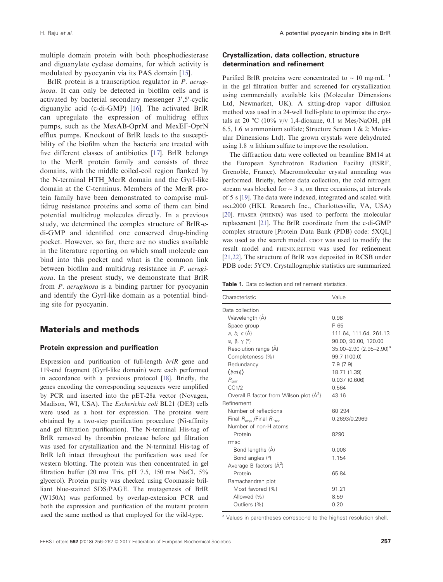<span id="page-1-0"></span>multiple domain protein with both phosphodiesterase and diguanylate cyclase domains, for which activity is modulated by pyocyanin via its PAS domain [[15](#page-6-0)].

BrlR protein is a transcription regulator in *P. aerug*inosa. It can only be detected in biofilm cells and is activated by bacterial secondary messenger 3',5'-cyclic diguanylic acid (c-di-GMP) [[16](#page-6-0)]. The activated BrlR can upregulate the expression of multidrug efflux pumps, such as the MexAB-OprM and MexEF-OprN efflux pumps. Knockout of BrlR leads to the susceptibility of the biofilm when the bacteria are treated with five different classes of antibiotics [[17](#page-6-0)]. BrlR belongs to the MerR protein family and consists of three domains, with the middle coiled-coil region flanked by the N-terminal HTH\_MerR domain and the GyrI-like domain at the C-terminus. Members of the MerR protein family have been demonstrated to comprise multidrug resistance proteins and some of them can bind potential multidrug molecules directly. In a previous study, we determined the complex structure of BrlR-cdi-GMP and identified one conserved drug-binding pocket. However, so far, there are no studies available in the literature reporting on which small molecule can bind into this pocket and what is the common link between biofilm and multidrug resistance in P. aeruginosa. In the present study, we demonstrate that BrlR from P. aeruginosa is a binding partner for pyocyanin and identify the GyrI-like domain as a potential binding site for pyocyanin.

## Materials and methods

### Protein expression and purification

Expression and purification of full-length brlR gene and 119-end fragment (GyrI-like domain) were each performed in accordance with a previous protocol [[18](#page-6-0)]. Briefly, the genes encoding the corresponding sequences were amplified by PCR and inserted into the pET-28a vector (Novagen, Madison, WI, USA). The Escherichia coli BL21 (DE3) cells were used as a host for expression. The proteins were obtained by a two-step purification procedure (Ni-affinity and gel filtration purification). The N-terminal His-tag of BrlR removed by thrombin protease before gel filtration was used for crystallization and the N-terminal His-tag of BrlR left intact throughout the purification was used for western blotting. The protein was then concentrated in gel filtration buffer (20 mm Tris, pH 7.5, 150 mm NaCl,  $5\%$ glycerol). Protein purity was checked using Coomassie brilliant blue-stained SDS/PAGE. The mutagenesis of BrlR (W150A) was performed by overlap-extension PCR and both the expression and purification of the mutant protein used the same method as that employed for the wild-type.

## Crystallization, data collection, structure determination and refinement

Purified BrlR proteins were concentrated to  $\sim 10 \text{ mg} \cdot \text{mL}^{-1}$ in the gel filtration buffer and screened for crystallization using commercially available kits (Molecular Dimensions Ltd, Newmarket, UK). A sitting-drop vapor diffusion method was used in a 24-well Itelli-plate to optimize the crystals at 20 °C (10% v/v 1.4-dioxane, 0.1  $\mu$  Mes/NaOH, pH 6.5, 1.6 <sup>M</sup> ammonium sulfate; Structure Screen 1 & 2; Molecular Dimensions Ltd). The grown crystals were dehydrated using 1.8 <sup>M</sup> lithium sulfate to improve the resolution.

The diffraction data were collected on beamline BM14 at the European Synchrotron Radiation Facility (ESRF, Grenoble, France). Macromolecular crystal annealing was performed. Briefly, before data collection, the cold nitrogen stream was blocked for  $\sim$  3 s, on three occasions, at intervals of 5 s [[19](#page-6-0)]. The data were indexed, integrated and scaled with HKL2000 (HKL Research Inc., Charlottesville, VA, USA) [\[20](#page-6-0)]. PHASER (PHENIX) was used to perform the molecular replacement [\[21\]](#page-6-0). The BrlR coordinate from the c-di-GMP complex structure [Protein Data Bank (PDB) code: [5XQL](http://www.rcsb.org/pdb/search/structidSearch.do?structureId=5XQL)] was used as the search model. COOT was used to modify the result model and PHENIX.REFINE was used for refinement [\[21,22](#page-6-0)]. The structure of BrlR was deposited in RCSB under PDB code: [5YC9](http://www.rcsb.org/pdb/search/structidSearch.do?structureId=5YC9). Crystallographic statistics are summarized

Table 1. Data collection and refinement statistics.

| Characteristic                                      | Value                            |
|-----------------------------------------------------|----------------------------------|
| Data collection                                     |                                  |
| Wavelength (A)                                      | 0.98                             |
| Space group                                         | P 65                             |
| a, b, $c(A)$                                        | 111.64, 111.64, 261.13           |
| $\alpha$ , $\beta$ , $\gamma$ (°)                   | 90.00, 90.00, 120.00             |
| Resolution range (A)                                | $35.00 - 2.90$ $(2.95 - 2.90)^a$ |
| Completeness (%)                                    | 99.7 (100.0)                     |
| Redundancy                                          | 7.9(7.9)                         |
| $\langle \parallel \sigma(\parallel) \rangle$       | 18.71 (1.39)                     |
| $R_{\text{pim}}$                                    | 0.037(0.606)                     |
| CC1/2                                               | 0.564                            |
| Overall B factor from Wilson plot (A <sup>2</sup> ) | 43.16                            |
| Refinement                                          |                                  |
| Number of reflections                               | 60 294                           |
| Final $R_{\text{crvst}}$ /Final $R_{\text{free}}$   | 0.2693/0.2969                    |
| Number of non-H atoms                               |                                  |
| Protein                                             | 8290                             |
| rmsd                                                |                                  |
| Bond lengths (A)                                    | 0.006                            |
| Bond angles (°)                                     | 1.154                            |
| Average B factors $(A2)$                            |                                  |
| Protein                                             | 65.84                            |
| Ramachandran plot                                   |                                  |
| Most favored (%)                                    | 91.21                            |
| Allowed (%)                                         | 8.59                             |
| Outliers (%)                                        | 0.20                             |

a Values in parentheses correspond to the highest resolution shell.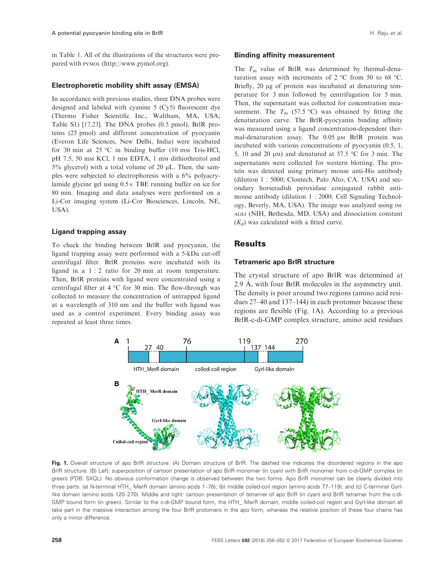<span id="page-2-0"></span>in Table [1](#page-1-0). All of the illustrations of the structures were prepared with PYMOL ([http://www.pymol.org\)](http://www.pymol.org).

## Electrophoretic mobility shift assay (EMSA)

In accordance with previous studies, three DNA probes were designed and labeled with cyanine 5 (Cy5) fluorescent dye (Thermo Fisher Scientific Inc., Waltham, MA, USA; Table S1) [[17,23\]](#page-6-0). The DNA probes (0.5 pmol), BrlR proteins (25 pmol) and different concentration of pyocyanin (Everon Life Sciences, New Delhi, India) were incubated for 30 min at 25 °C in binding buffer (10 mm Tris-HCl, pH 7.5, 50 mm KCl, 1 mm EDTA, 1 mm dithiothreitol and 5% glycerol) with a total volume of 20  $\mu$ L. Then, the samples were subjected to electrophoresis with a 6% polyacrylamide glycine gel using  $0.5 \times$  TBE running buffer on ice for 80 min. Imaging and data analyses were performed on a Li-Cor imaging system (Li-Cor Biosciences, Lincoln, NE, USA).

#### Ligand trapping assay

To check the binding between BrlR and pyocyanin, the ligand trapping assay were performed with a 5-kDa cut-off centrifugal filter. BrlR proteins were incubated with its ligand in a 1 : 2 ratio for 20 min at room temperature. Then, BrlR proteins with ligand were concentrated using a centrifugal filter at 4 °C for 30 min. The flow-through was collected to measure the concentration of untrapped ligand at a wavelength of 310 nm and the buffer with ligand was used as a control experiment. Every binding assay was repeated at least three times.

## Binding affinity measurement

The  $T<sub>m</sub>$  value of BrlR was determined by thermal-denaturation assay with increments of 2 °C from 50 to 68 °C. Briefly, 20 µg of protein was incubated at denaturing temperature for 3 min followed by centrifugation for 5 min. Then, the supernatant was collected for concentration measurement. The  $T_m$  (57.5 °C) was obtained by fitting the denaturation curve. The BrlR-pyocyanin binding affinity was measured using a ligand concentration-dependent thermal-denaturation assay. The  $0.05 \mu M$  BrlR protein was incubated with various concentrations of pyocyanin (0.5, 1, 5, 10 and 20  $\mu$ M) and denatured at 57.5 °C for 3 min. The supernatants were collected for western blotting. The protein was detected using primary mouse anti-His antibody (dilution 1 : 5000; Clontech, Palo Alto, CA, USA) and secondary horseradish peroxidase conjugated rabbit antimouse antibody (dilution 1 : 2000; Cell Signaling Technology, Beverly, MA, USA). The image was analyzed using IM-AGEJ (NIH, Bethesda, MD, USA) and dissociation constant  $(K_d)$  was calculated with a fitted curve.

## **Results**

#### Tetrameric apo BrlR structure

The crystal structure of apo BrlR was determined at 2.9 A, with four BrlR molecules in the asymmetry unit. The density is poor around two regions (amino acid residues 27–40 and 137–144) in each protomer because these regions are flexible (Fig. 1A). According to a previous BrlR-c-di-GMP complex structure, amino acid residues



Fig. 1. Overall structure of apo BrIR structure. (A) Domain structure of BrIR. The dashed line indicates the disordered regions in the apo BrlR structure. (B) Left: superposition of cartoon presentation of apo BrlR monomer (in cyan) with BrlR monomer from c-di-GMP complex (in green) (PDB: [5XQL\)](http://www.rcsb.org/pdb/search/structidSearch.do?structureId=5XQL). No obvious conformation change is observed between the two forms. Apo BrlR monomer can be clearly divided into three parts: (a) N-terminal HTH\_ MerR domain (amino acids 1–76); (b) middle coiled-coil region (amino acids 77–119); and (c) C-terminal GyrIlike domain (amino acids 120–270). Middle and right: cartoon presentation of tetramer of apo BrlR (in cyan) and BrlR tetramer from the c-di-GMP bound form (in green). Similar to the c-di-GMP bound form, the HTH\_ MerR domain, middle coiled-coil region and GyrI-like domain all take part in the massive interaction among the four BrlR protomers in the apo form, whereas the relative position of these four chains has only a minor difference.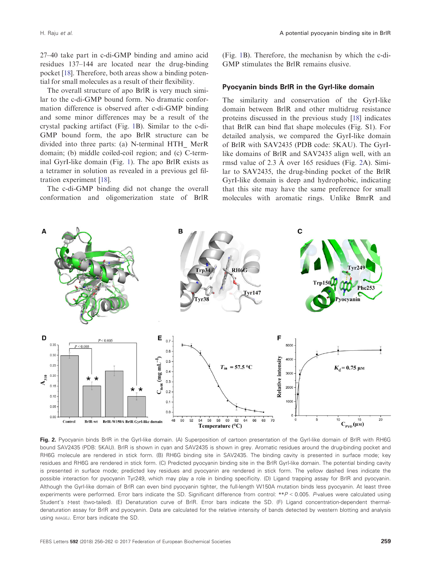<span id="page-3-0"></span>27–40 take part in c-di-GMP binding and amino acid residues 137–144 are located near the drug-binding pocket [[18](#page-6-0)]. Therefore, both areas show a binding potential for small molecules as a result of their flexibility.

The overall structure of apo BrlR is very much similar to the c-di-GMP bound form. No dramatic conformation difference is observed after c-di-GMP binding and some minor differences may be a result of the crystal packing artifact (Fig. [1](#page-2-0)B). Similar to the c-di-GMP bound form, the apo BrlR structure can be divided into three parts: (a) N-terminal HTH\_ MerR domain; (b) middle coiled-coil region; and (c) C-terminal GyrI-like domain (Fig. [1\)](#page-2-0). The apo BrlR exists as a tetramer in solution as revealed in a previous gel filtration experiment [\[18\]](#page-6-0).

The c-di-GMP binding did not change the overall conformation and oligomerization state of BrlR

(Fig. [1B](#page-2-0)). Therefore, the mechanisn by which the c-di-GMP stimulates the BrlR remains elusive.

### Pyocyanin binds BrlR in the GyrI-like domain

The similarity and conservation of the GyrI-like domain between BrlR and other multidrug resistance proteins discussed in the previous study [[18](#page-6-0)] indicates that BrlR can bind flat shape molecules (Fig. S1). For detailed analysis, we compared the GyrI-like domain of BrlR with SAV2435 (PDB code: [5KAU\)](http://www.rcsb.org/pdb/search/structidSearch.do?structureId=5KAU). The GyrIlike domains of BrlR and SAV2435 align well, with an rmsd value of 2.3 A over 165 residues (Fig. 2A). Similar to SAV2435, the drug-binding pocket of the BrlR GyrI-like domain is deep and hydrophobic, indicating that this site may have the same preference for small molecules with aromatic rings. Unlike BmrR and



Fig. 2. Pyocyanin binds BrlR in the Gyrl-like domain. (A) Superposition of cartoon presentation of the Gyrl-like domain of BrlR with RH6G bound SAV2435 (PDB: [5KAU](http://www.rcsb.org/pdb/search/structidSearch.do?structureId=5KAU)). BrlR is shown in cyan and SAV2435 is shown in grey. Aromatic residues around the drug-binding pocket and RH6G molecule are rendered in stick form. (B) RH6G binding site in SAV2435. The binding cavity is presented in surface mode; key residues and RH6G are rendered in stick form. (C) Predicted pyocyanin binding site in the BrlR GyrI-like domain. The potential binding cavity is presented in surface mode; predicted key residues and pyocyanin are rendered in stick form. The yellow dashed lines indicate the possible interaction for pyocyanin Tyr249, which may play a role in binding specificity. (D) Ligand trapping assay for BrlR and pyocyanin. Although the GyrI-like domain of BrlR can even bind pyocyanin tighter, the full-length W150A mutation binds less pyocyanin. At least three experiments were performed. Error bars indicate the SD. Significant difference from control: \*\*P < 0.005. P-values were calculated using Student's t-test (two-tailed). (E) Denaturation curve of BrlR. Error bars indicate the SD. (F) Ligand concentration-dependent thermaldenaturation assay for BrlR and pyocyanin. Data are calculated for the relative intensity of bands detected by western blotting and analysis using IMAGEJ. Error bars indicate the SD.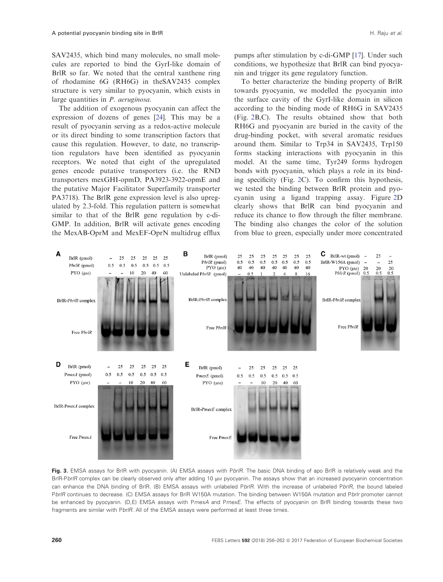<span id="page-4-0"></span>SAV2435, which bind many molecules, no small molecules are reported to bind the GyrI-like domain of BrlR so far. We noted that the central xanthene ring of rhodamine 6G (RH6G) in theSAV2435 complex structure is very similar to pyocyanin, which exists in large quantities in *P. aeruginosa*.

The addition of exogenous pyocyanin can affect the expression of dozens of genes [\[24\]](#page-6-0). This may be a result of pyocyanin serving as a redox-active molecule or its direct binding to some transcription factors that cause this regulation. However, to date, no transcription regulators have been identified as pyocyanin receptors. We noted that eight of the upregulated genes encode putative transporters (i.e. the RND transporters mexGHI-opmD, PA3923-3922-opmE and the putative Major Facilitator Superfamily transporter PA3718). The BrlR gene expression level is also upregulated by 2.3-fold. This regulation pattern is somewhat similar to that of the BrlR gene regulation by c-di-GMP. In addition, BrlR will activate genes encoding the MexAB-OprM and MexEF-OprN multidrug efflux

pumps after stimulation by c-di-GMP [\[17\]](#page-6-0). Under such conditions, we hypothesize that BrlR can bind pyocyanin and trigger its gene regulatory function.

To better characterize the binding property of BrlR towards pyocyanin, we modelled the pyocyanin into the surface cavity of the GyrI-like domain in silicon according to the binding mode of RH6G in SAV2435 (Fig. [2](#page-3-0)B,C). The results obtained show that both RH6G and pyocyanin are buried in the cavity of the drug-binding pocket, with several aromatic residues around them. Similar to Trp34 in SAV2435, Trp150 forms stacking interactions with pyocyanin in this model. At the same time, Tyr249 forms hydrogen bonds with pyocyanin, which plays a role in its binding specificity (Fig. [2](#page-3-0)C). To confirm this hypothesis, we tested the binding between BrlR protein and pyocyanin using a ligand trapping assay. Figure [2D](#page-3-0) clearly shows that BrlR can bind pyocyanin and reduce its chance to flow through the filter membrane. The binding also changes the color of the solution from blue to green, especially under more concentrated



Fig. 3. EMSA assays for BrlR with pyocyanin. (A) EMSA assays with PbrlR. The basic DNA binding of apo BrlR is relatively weak and the BrlR-PbrlR complex can be clearly observed only after adding 10 um pyocyanin. The assays show that an increased pyocyanin concentration can enhance the DNA binding of BrlR. (B) EMSA assays with unlabeled PbrlR. With the increase of unlabeled PbrlR, the bound labeled Pbr/R continues to decrease. (C) EMSA assays for BrIR W150A mutation. The binding between W150A mutation and Pbr/r promoter cannot be enhanced by pyocyanin. (D,E) EMSA assays with PmexA and PmexE. The effects of pyocyanin on BrlR binding towards these two fragments are similar with PbrlR. All of the EMSA assays were performed at least three times.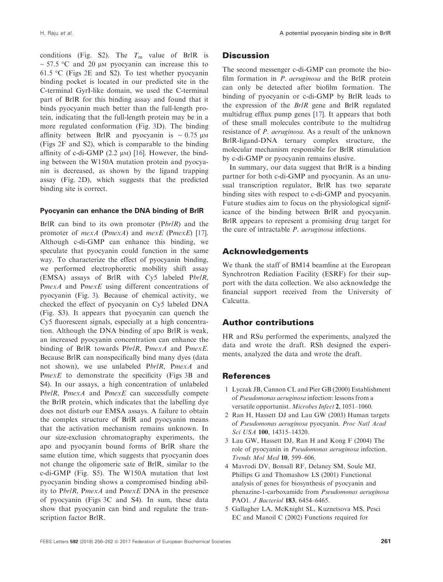<span id="page-5-0"></span>conditions (Fig. S2). The  $T<sub>m</sub>$  value of BrlR is  $\sim$  57.5 °C and 20 µm pyocyanin can increase this to 61.5 °C (Figs [2E](#page-3-0) and S2). To test whether pyocyanin binding pocket is located in our predicted site in the C-terminal GyrI-like domain, we used the C-terminal part of BrlR for this binding assay and found that it binds pyocyanin much better than the full-length protein, indicating that the full-length protein may be in a more regulated conformation (Fig. [3](#page-4-0)D). The binding affinity between BrlR and pyocyanin is  $\sim 0.75 \mu M$ (Figs [2](#page-3-0)F and S2), which is comparable to the binding affinity of c-di-GMP  $(2.2 \mu)$  [\[16\]](#page-6-0). However, the binding between the W150A mutation protein and pyocyanin is decreased, as shown by the ligand trapping assay (Fig. [2D](#page-3-0)), which suggests that the predicted binding site is correct.

## Pyocyanin can enhance the DNA binding of BrlR

BrlR can bind to its own promoter  $(Pbr/R)$  and the promoter of  $mexA$  (PmexA) and  $mexE$  (PmexE) [[17](#page-6-0)]. Although c-di-GMP can enhance this binding, we speculate that pyocyanin could function in the same way. To characterize the effect of pyocyanin binding, we performed electrophoretic mobility shift assay (EMSA) assays of BrlR with Cy5 labeled PbrlR, PmexA and PmexE using different concentrations of pyocyanin (Fig. [3\)](#page-4-0). Because of chemical activity, we checked the effect of pyocyanin on Cy5 labeled DNA (Fig. S3). It appears that pyocyanin can quench the Cy5 fluorescent signals, especially at a high concentration. Although the DNA binding of apo BrlR is weak, an increased pyocyanin concentration can enhance the binding of BrlR towards PbrlR, PmexA and PmexE. Because BrlR can nonspecifically bind many dyes (data not shown), we use unlabeled PbrlR, PmexA and PmexE to demonstrate the specificity (Figs [3B](#page-4-0) and S4). In our assays, a high concentration of unlabeled PbrlR, PmexA and PmexE can successfully compete the BrlR protein, which indicates that the labelling dye does not disturb our EMSA assays. A failure to obtain the complex structure of BrlR and pyocyanin means that the activation mechanism remains unknown. In our size-exclusion chromatography experiments, the apo and pyocyanin bound forms of BrlR share the same elution time, which suggests that pyocyanin does not change the oligomeric sate of BrlR, similar to the c-di-GMP (Fig. S5). The W150A mutation that lost pyocyanin binding shows a compromised binding ability to PbrlR, PmexA and PmexE DNA in the presence of pyocyanin (Figs [3C](#page-4-0) and S4). In sum, these data show that pyocyanin can bind and regulate the transcription factor BrlR.

# **Discussion**

The second messenger c-di-GMP can promote the biofilm formation in *P. aeruginosa* and the BrlR protein can only be detected after biofilm formation. The binding of pyocyanin or c-di-GMP by BrlR leads to the expression of the BrlR gene and BrlR regulated multidrug efflux pump genes [[17](#page-6-0)]. It appears that both of these small molecules contribute to the multidrug resistance of P. aeruginosa. As a result of the unknown BrlR-ligand-DNA ternary complex structure, the molecular mechanism responsible for BrlR stimulation by c-di-GMP or pyocyanin remains elusive.

In summary, our data suggest that BrlR is a binding partner for both c-di-GMP and pyocyanin. As an unusual transcription regulator, BrlR has two separate binding sites with respect to c-di-GMP and pyocyanin. Future studies aim to focus on the physiological significance of the binding between BrlR and pyocyanin. BrlR appears to represent a promising drug target for the cure of intractable P. aeruginosa infections.

# Acknowledgements

We thank the staff of BM14 beamline at the European Synchrotron Rediation Facility (ESRF) for their support with the data collection. We also acknowledge the financial support received from the University of Calcutta.

# Author contributions

HR and RSu performed the experiments, analyzed the data and wrote the draft. RSh designed the experiments, analyzed the data and wrote the draft.

# References

- 1 Lyczak JB, Cannon CL and Pier GB (2000) Establishment of Pseudomonas aeruginosa infection: lessons from a versatile opportunist. Microbes Infect 2, 1051–1060.
- 2 Ran H, Hassett DJ and Lau GW (2003) Human targets of Pseudomonas aeruginosa pyocyanin. Proc Natl Acad Sci USA 100, 14315–14320.
- 3 Lau GW, Hassett DJ, Ran H and Kong F (2004) The role of pyocyanin in Pseudomonas aeruginosa infection. Trends Mol Med 10, 599–606.
- 4 Mavrodi DV, Bonsall RF, Delaney SM, Soule MJ, Phillips G and Thomashow LS (2001) Functional analysis of genes for biosynthesis of pyocyanin and phenazine-1-carboxamide from Pseudomonas aeruginosa PAO1. *J Bacteriol* 183, 6454-6465.
- 5 Gallagher LA, McKnight SL, Kuznetsova MS, Pesci EC and Manoil C (2002) Functions required for